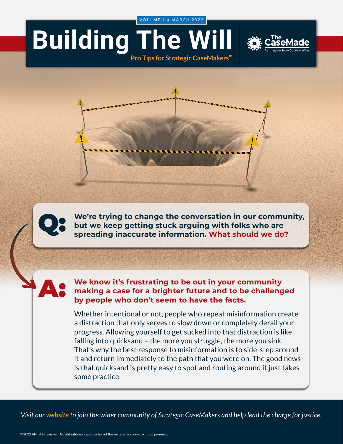VOLUME 1 • MARCH 2022

## **Building The V**







Q: **We're trying to change the conversation in our community, but we keep getting stuck arguing with folks who are spreading inaccurate information. What should we do?**

A:

**We know it's frustrating to be out in your community making a case for a brighter future and to be challenged by people who don't seem to have the facts.**

Whether intentional or not, people who repeat misinformation create a distraction that only serves to slow down or completely derail your progress. Allowing yourself to get sucked into that distraction is like falling into quicksand – the more you struggle, the more you sink. That's why the best response to misinformation is to side-step around it and return immediately to the path that you were on. The good news is that quicksand is pretty easy to spot and routing around it just takes some practice.

*Visit our [website](https://www.thecasemade.com/) to join the wider community of Strategic CaseMakers and help lead the charge for justice.*